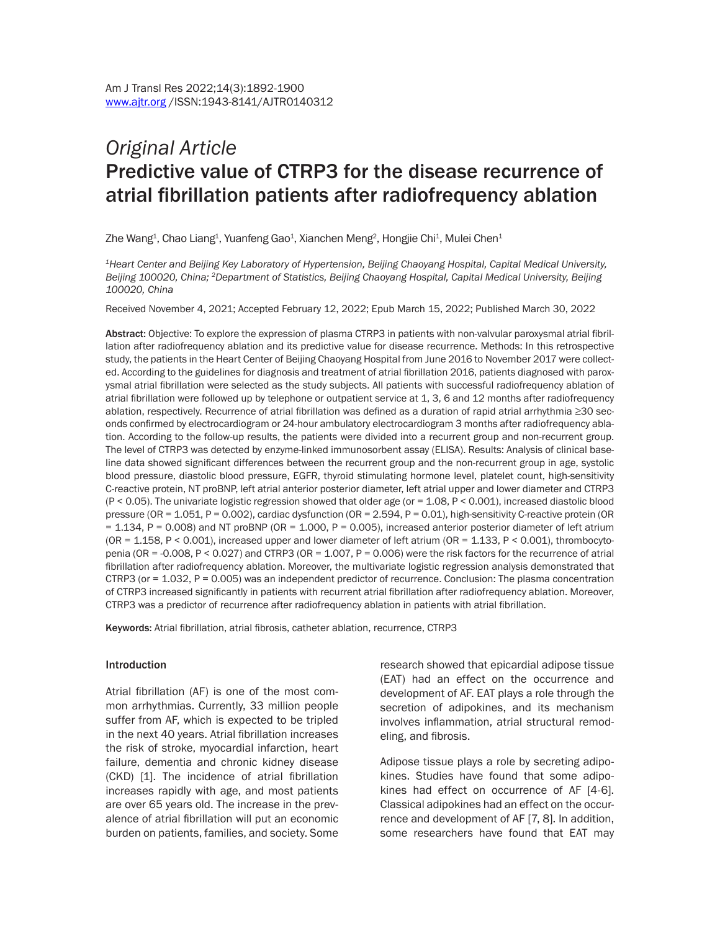# *Original Article* Predictive value of CTRP3 for the disease recurrence of atrial fibrillation patients after radiofrequency ablation

Zhe Wang $^{\rm 1}$ , Chao Liang $^{\rm 1}$ , Yuanfeng Gao $^{\rm 1}$ , Xianchen Meng $^{\rm 2}$ , Hongjie Chi $^{\rm 1}$ , Mulei Chen $^{\rm 1}$ 

*1Heart Center and Beijing Key Laboratory of Hypertension, Beijing Chaoyang Hospital, Capital Medical University, Beijing 100020, China; 2Department of Statistics, Beijing Chaoyang Hospital, Capital Medical University, Beijing 100020, China*

Received November 4, 2021; Accepted February 12, 2022; Epub March 15, 2022; Published March 30, 2022

Abstract: Objective: To explore the expression of plasma CTRP3 in patients with non-valvular paroxysmal atrial fibrillation after radiofrequency ablation and its predictive value for disease recurrence. Methods: In this retrospective study, the patients in the Heart Center of Beijing Chaoyang Hospital from June 2016 to November 2017 were collected. According to the guidelines for diagnosis and treatment of atrial fibrillation 2016, patients diagnosed with paroxysmal atrial fibrillation were selected as the study subjects. All patients with successful radiofrequency ablation of atrial fibrillation were followed up by telephone or outpatient service at 1, 3, 6 and 12 months after radiofrequency ablation, respectively. Recurrence of atrial fibrillation was defined as a duration of rapid atrial arrhythmia ≥30 seconds confirmed by electrocardiogram or 24-hour ambulatory electrocardiogram 3 months after radiofrequency ablation. According to the follow-up results, the patients were divided into a recurrent group and non-recurrent group. The level of CTRP3 was detected by enzyme-linked immunosorbent assay (ELISA). Results: Analysis of clinical baseline data showed significant differences between the recurrent group and the non-recurrent group in age, systolic blood pressure, diastolic blood pressure, EGFR, thyroid stimulating hormone level, platelet count, high-sensitivity C-reactive protein, NT proBNP, left atrial anterior posterior diameter, left atrial upper and lower diameter and CTRP3 (P < 0.05). The univariate logistic regression showed that older age (or = 1.08, P < 0.001), increased diastolic blood pressure (OR = 1.051, P = 0.002), cardiac dysfunction (OR = 2.594, P = 0.01), high-sensitivity C-reactive protein (OR  $= 1.134$ , P = 0.008) and NT proBNP (OR = 1.000, P = 0.005), increased anterior posterior diameter of left atrium  $(OR = 1.158, P < 0.001)$ , increased upper and lower diameter of left atrium  $(OR = 1.133, P < 0.001)$ , thrombocytopenia (OR = -0.008, P < 0.027) and CTRP3 (OR = 1.007, P = 0.006) were the risk factors for the recurrence of atrial fibrillation after radiofrequency ablation. Moreover, the multivariate logistic regression analysis demonstrated that CTRP3 (or = 1.032, P = 0.005) was an independent predictor of recurrence. Conclusion: The plasma concentration of CTRP3 increased significantly in patients with recurrent atrial fibrillation after radiofrequency ablation. Moreover, CTRP3 was a predictor of recurrence after radiofrequency ablation in patients with atrial fibrillation.

Keywords: Atrial fibrillation, atrial fibrosis, catheter ablation, recurrence, CTRP3

#### Introduction

Atrial fibrillation (AF) is one of the most common arrhythmias. Currently, 33 million people suffer from AF, which is expected to be tripled in the next 40 years. Atrial fibrillation increases the risk of stroke, myocardial infarction, heart failure, dementia and chronic kidney disease (CKD) [1]. The incidence of atrial fibrillation increases rapidly with age, and most patients are over 65 years old. The increase in the prevalence of atrial fibrillation will put an economic burden on patients, families, and society. Some research showed that epicardial adipose tissue (EAT) had an effect on the occurrence and development of AF. EAT plays a role through the secretion of adipokines, and its mechanism involves inflammation, atrial structural remodeling, and fibrosis.

Adipose tissue plays a role by secreting adipokines. Studies have found that some adipokines had effect on occurrence of AF [4-6]. Classical adipokines had an effect on the occurrence and development of AF [7, 8]. In addition, some researchers have found that EAT may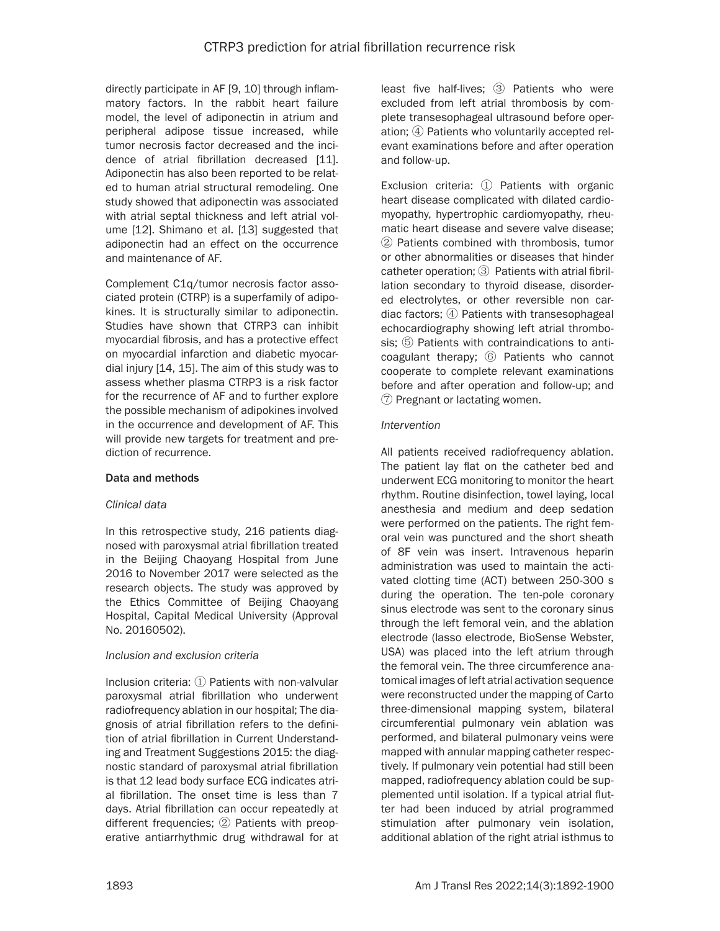directly participate in AF [9, 10] through inflammatory factors. In the rabbit heart failure model, the level of adiponectin in atrium and peripheral adipose tissue increased, while tumor necrosis factor decreased and the incidence of atrial fibrillation decreased [11]. Adiponectin has also been reported to be related to human atrial structural remodeling. One study showed that adiponectin was associated with atrial septal thickness and left atrial volume [12]. Shimano et al. [13] suggested that adiponectin had an effect on the occurrence and maintenance of AF.

Complement C1q/tumor necrosis factor associated protein (CTRP) is a superfamily of adipokines. It is structurally similar to adiponectin. Studies have shown that CTRP3 can inhibit myocardial fibrosis, and has a protective effect on myocardial infarction and diabetic myocardial injury [14, 15]. The aim of this study was to assess whether plasma CTRP3 is a risk factor for the recurrence of AF and to further explore the possible mechanism of adipokines involved in the occurrence and development of AF. This will provide new targets for treatment and prediction of recurrence.

## Data and methods

## *Clinical data*

In this retrospective study, 216 patients diagnosed with paroxysmal atrial fibrillation treated in the Beijing Chaoyang Hospital from June 2016 to November 2017 were selected as the research objects. The study was approved by the Ethics Committee of Beijing Chaoyang Hospital, Capital Medical University (Approval No. 20160502).

## *Inclusion and exclusion criteria*

Inclusion criteria: ① Patients with non-valvular paroxysmal atrial fibrillation who underwent radiofrequency ablation in our hospital; The diagnosis of atrial fibrillation refers to the definition of atrial fibrillation in Current Understanding and Treatment Suggestions 2015: the diagnostic standard of paroxysmal atrial fibrillation is that 12 lead body surface ECG indicates atrial fibrillation. The onset time is less than 7 days. Atrial fibrillation can occur repeatedly at different frequencies; ② Patients with preoperative antiarrhythmic drug withdrawal for at least five half-lives; ③ Patients who were excluded from left atrial thrombosis by complete transesophageal ultrasound before operation; ④ Patients who voluntarily accepted relevant examinations before and after operation and follow-up.

Exclusion criteria: ① Patients with organic heart disease complicated with dilated cardiomyopathy, hypertrophic cardiomyopathy, rheumatic heart disease and severe valve disease; ② Patients combined with thrombosis, tumor or other abnormalities or diseases that hinder catheter operation; ③ Patients with atrial fibrillation secondary to thyroid disease, disordered electrolytes, or other reversible non cardiac factors; ④ Patients with transesophageal echocardiography showing left atrial thrombosis; ⑤ Patients with contraindications to anticoagulant therapy; ⑥ Patients who cannot cooperate to complete relevant examinations before and after operation and follow-up; and ⑦ Pregnant or lactating women.

#### *Intervention*

All patients received radiofrequency ablation. The patient lay flat on the catheter bed and underwent ECG monitoring to monitor the heart rhythm. Routine disinfection, towel laying, local anesthesia and medium and deep sedation were performed on the patients. The right femoral vein was punctured and the short sheath of 8F vein was insert. Intravenous heparin administration was used to maintain the activated clotting time (ACT) between 250-300 s during the operation. The ten-pole coronary sinus electrode was sent to the coronary sinus through the left femoral vein, and the ablation electrode (lasso electrode, BioSense Webster, USA) was placed into the left atrium through the femoral vein. The three circumference anatomical images of left atrial activation sequence were reconstructed under the mapping of Carto three-dimensional mapping system, bilateral circumferential pulmonary vein ablation was performed, and bilateral pulmonary veins were mapped with annular mapping catheter respectively. If pulmonary vein potential had still been mapped, radiofrequency ablation could be supplemented until isolation. If a typical atrial flutter had been induced by atrial programmed stimulation after pulmonary vein isolation, additional ablation of the right atrial isthmus to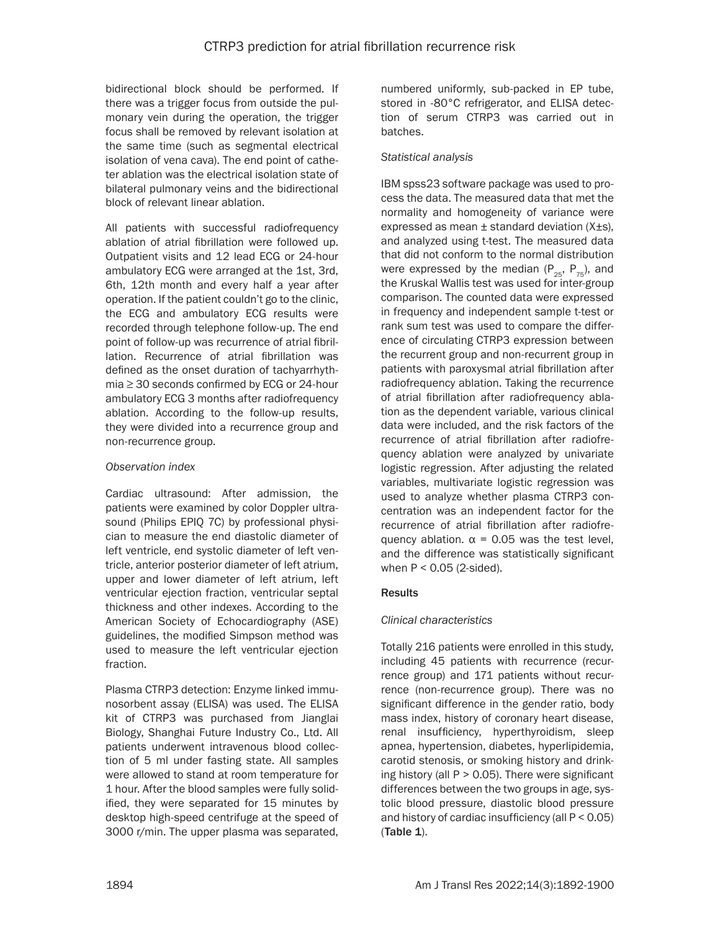bidirectional block should be performed. If there was a trigger focus from outside the pulmonary vein during the operation, the trigger focus shall be removed by relevant isolation at the same time (such as segmental electrical isolation of vena cava). The end point of catheter ablation was the electrical isolation state of bilateral pulmonary veins and the bidirectional block of relevant linear ablation.

All patients with successful radiofrequency ablation of atrial fibrillation were followed up. Outpatient visits and 12 lead ECG or 24-hour ambulatory ECG were arranged at the 1st, 3rd, 6th, 12th month and every half a year after operation. If the patient couldn't go to the clinic, the ECG and ambulatory ECG results were recorded through telephone follow-up. The end point of follow-up was recurrence of atrial fibrillation. Recurrence of atrial fibrillation was defined as the onset duration of tachyarrhythmia ≥ 30 seconds confirmed by ECG or 24-hour ambulatory ECG 3 months after radiofrequency ablation. According to the follow-up results, they were divided into a recurrence group and non-recurrence group.

## *Observation index*

Cardiac ultrasound: After admission, the patients were examined by color Doppler ultrasound (Philips EPIQ 7C) by professional physician to measure the end diastolic diameter of left ventricle, end systolic diameter of left ventricle, anterior posterior diameter of left atrium, upper and lower diameter of left atrium, left ventricular ejection fraction, ventricular septal thickness and other indexes. According to the American Society of Echocardiography (ASE) guidelines, the modified Simpson method was used to measure the left ventricular ejection fraction.

Plasma CTRP3 detection: Enzyme linked immunosorbent assay (ELISA) was used. The ELISA kit of CTRP3 was purchased from Jianglai Biology, Shanghai Future Industry Co., Ltd. All patients underwent intravenous blood collection of 5 ml under fasting state. All samples were allowed to stand at room temperature for 1 hour. After the blood samples were fully solidified, they were separated for 15 minutes by desktop high-speed centrifuge at the speed of 3000 r/min. The upper plasma was separated, numbered uniformly, sub-packed in EP tube, stored in -80°C refrigerator, and ELISA detection of serum CTRP3 was carried out in batches.

### *Statistical analysis*

IBM spss23 software package was used to process the data. The measured data that met the normality and homogeneity of variance were expressed as mean  $\pm$  standard deviation (X $\pm$ s), and analyzed using t-test. The measured data that did not conform to the normal distribution were expressed by the median ( $P_{25}$ ,  $P_{75}$ ), and the Kruskal Wallis test was used for inter-group comparison. The counted data were expressed in frequency and independent sample t-test or rank sum test was used to compare the difference of circulating CTRP3 expression between the recurrent group and non-recurrent group in patients with paroxysmal atrial fibrillation after radiofrequency ablation. Taking the recurrence of atrial fibrillation after radiofrequency ablation as the dependent variable, various clinical data were included, and the risk factors of the recurrence of atrial fibrillation after radiofrequency ablation were analyzed by univariate logistic regression. After adjusting the related variables, multivariate logistic regression was used to analyze whether plasma CTRP3 concentration was an independent factor for the recurrence of atrial fibrillation after radiofrequency ablation.  $\alpha$  = 0.05 was the test level, and the difference was statistically significant when P < 0.05 (2-sided).

## **Results**

## *Clinical characteristics*

Totally 216 patients were enrolled in this study, including 45 patients with recurrence (recurrence group) and 171 patients without recurrence (non-recurrence group). There was no significant difference in the gender ratio, body mass index, history of coronary heart disease, renal insufficiency, hyperthyroidism, sleep apnea, hypertension, diabetes, hyperlipidemia, carotid stenosis, or smoking history and drinking history (all  $P > 0.05$ ). There were significant differences between the two groups in age, systolic blood pressure, diastolic blood pressure and history of cardiac insufficiency (all P < 0.05) (Table 1).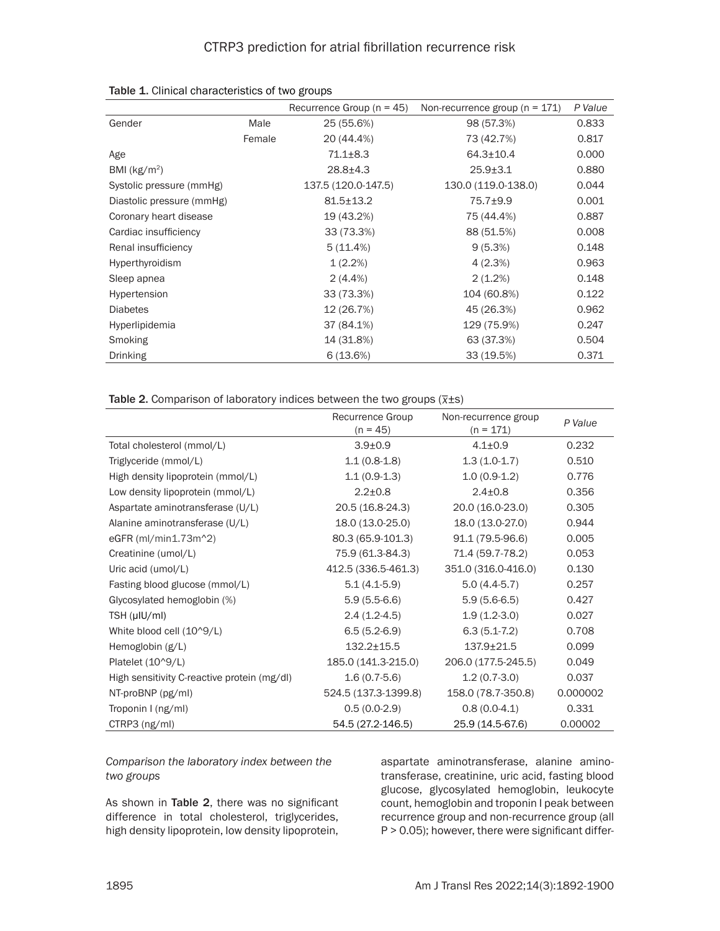|                           |        | Recurrence Group ( $n = 45$ ) | Non-recurrence group ( $n = 171$ ) | P Value |
|---------------------------|--------|-------------------------------|------------------------------------|---------|
| Gender                    | Male   | 25 (55.6%)                    | 98 (57.3%)                         | 0.833   |
|                           | Female | 20 (44.4%)                    | 73 (42.7%)                         | 0.817   |
| Age                       |        | $71.1 + 8.3$                  | $64.3 \pm 10.4$                    | 0.000   |
| BMI $(kg/m2)$             |        | $28.8 + 4.3$                  | $25.9 + 3.1$                       | 0.880   |
| Systolic pressure (mmHg)  |        | 137.5 (120.0-147.5)           | 130.0 (119.0-138.0)                | 0.044   |
| Diastolic pressure (mmHg) |        | $81.5 \pm 13.2$               | $75.7 + 9.9$                       | 0.001   |
| Coronary heart disease    |        | 19 (43.2%)                    | 75 (44.4%)                         | 0.887   |
| Cardiac insufficiency     |        | 33 (73.3%)                    | 88 (51.5%)                         | 0.008   |
| Renal insufficiency       |        | 5(11.4%)                      | 9(5.3%)                            | 0.148   |
| Hyperthyroidism           |        | $1(2.2\%)$                    | 4(2.3%)                            | 0.963   |
| Sleep apnea               |        | $2(4.4\%)$                    | $2(1.2\%)$                         | 0.148   |
| Hypertension              |        | 33 (73.3%)                    | 104 (60.8%)                        | 0.122   |
| <b>Diabetes</b>           |        | 12 (26.7%)                    | 45 (26.3%)                         | 0.962   |
| Hyperlipidemia            |        | 37 (84.1%)                    | 129 (75.9%)                        | 0.247   |
| Smoking                   |        | 14 (31.8%)                    | 63 (37.3%)                         | 0.504   |
| <b>Drinking</b>           |        | 6(13.6%)                      | 33 (19.5%)                         | 0.371   |

|  | Table 1. Clinical characteristics of two groups |  |  |
|--|-------------------------------------------------|--|--|
|--|-------------------------------------------------|--|--|

|  | Table 2. Comparison of laboratory indices between the two groups $(\overline{x} \pm s)$ |  |  |  |
|--|-----------------------------------------------------------------------------------------|--|--|--|

|                                             | Recurrence Group<br>$(n = 45)$ | Non-recurrence group<br>$(n = 171)$ | P Value  |
|---------------------------------------------|--------------------------------|-------------------------------------|----------|
| Total cholesterol (mmol/L)                  | $3.9{\pm}0.9$                  | $4.1 \pm 0.9$                       | 0.232    |
| Triglyceride (mmol/L)                       | $1.1(0.8-1.8)$                 | $1.3(1.0-1.7)$                      | 0.510    |
| High density lipoprotein (mmol/L)           | $1.1(0.9-1.3)$                 | $1.0(0.9-1.2)$                      | 0.776    |
| Low density lipoprotein (mmol/L)            | $2.2 \pm 0.8$                  | $2.4 \pm 0.8$                       | 0.356    |
| Aspartate aminotransferase (U/L)            | 20.5 (16.8-24.3)               | 20.0 (16.0-23.0)                    | 0.305    |
| Alanine aminotransferase (U/L)              | 18.0 (13.0-25.0)               | 18.0 (13.0-27.0)                    | 0.944    |
| eGFR $(mI/min1.73m^2)$                      | 80.3 (65.9-101.3)              | 91.1 (79.5-96.6)                    | 0.005    |
| Creatinine (umol/L)                         | 75.9 (61.3-84.3)               | 71.4 (59.7-78.2)                    | 0.053    |
| Uric acid (umol/L)                          | 412.5 (336.5-461.3)            | 351.0 (316.0-416.0)                 | 0.130    |
| Fasting blood glucose (mmol/L)              | $5.1(4.1-5.9)$                 | $5.0(4.4-5.7)$                      | 0.257    |
| Glycosylated hemoglobin (%)                 | $5.9(5.5-6.6)$                 | $5.9(5.6-6.5)$                      | 0.427    |
| TSH (µIU/ml)                                | $2.4(1.2-4.5)$                 | $1.9(1.2-3.0)$                      | 0.027    |
| White blood cell (10^9/L)                   | $6.5(5.2-6.9)$                 | $6.3(5.1-7.2)$                      | 0.708    |
| Hemoglobin (g/L)                            | $132.2 \pm 15.5$               | $137.9 \pm 21.5$                    | 0.099    |
| Platelet (10^9/L)                           | 185.0 (141.3-215.0)            | 206.0 (177.5-245.5)                 | 0.049    |
| High sensitivity C-reactive protein (mg/dl) | $1.6(0.7-5.6)$                 | $1.2(0.7-3.0)$                      | 0.037    |
| NT-proBNP (pg/ml)                           | 524.5 (137.3-1399.8)           | 158.0 (78.7-350.8)                  | 0.000002 |
| Troponin I (ng/ml)                          | $0.5(0.0-2.9)$                 | $0.8(0.0-4.1)$                      | 0.331    |
| CTRP3 (ng/ml)                               | 54.5 (27.2-146.5)              | 25.9 (14.5-67.6)                    | 0.00002  |

*Comparison the laboratory index between the two groups*

As shown in Table 2, there was no significant difference in total cholesterol, triglycerides, high density lipoprotein, low density lipoprotein,

aspartate aminotransferase, alanine aminotransferase, creatinine, uric acid, fasting blood glucose, glycosylated hemoglobin, leukocyte count, hemoglobin and troponin I peak between recurrence group and non-recurrence group (all P > 0.05); however, there were significant differ-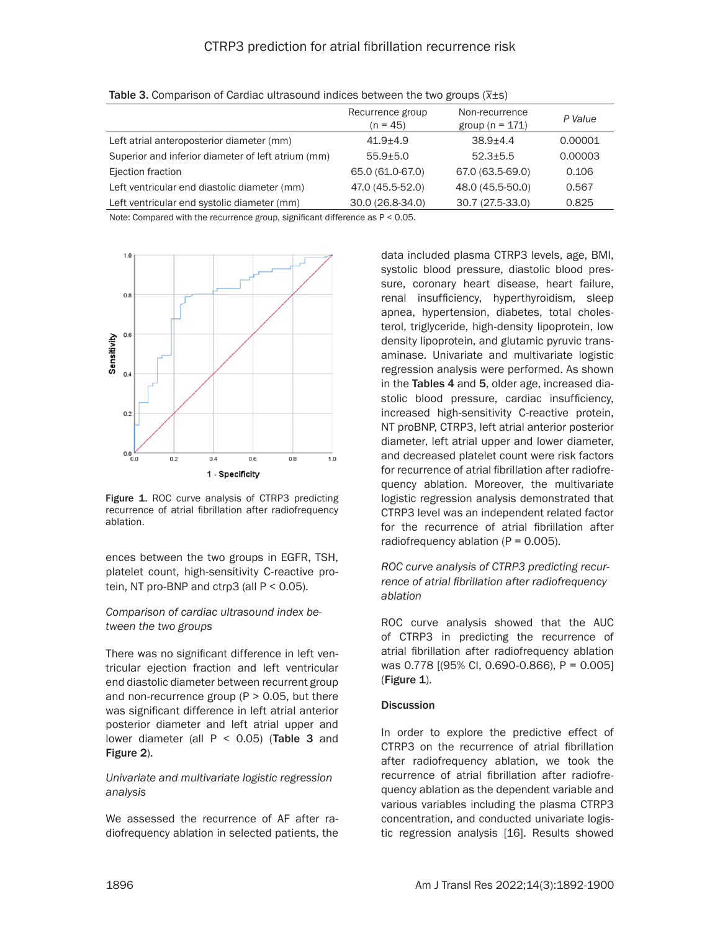# CTRP3 prediction for atrial fibrillation recurrence risk

|                                                    | Recurrence group<br>$(n = 45)$ | Non-recurrence<br>group ( $n = 171$ ) | P Value |
|----------------------------------------------------|--------------------------------|---------------------------------------|---------|
| Left atrial anteroposterior diameter (mm)          | $41.9 + 4.9$                   | $38.9 + 4.4$                          | 0.00001 |
| Superior and inferior diameter of left atrium (mm) | $55.9 + 5.0$                   | $52.3 + 5.5$                          | 0.00003 |
| Ejection fraction                                  | 65.0 (61.0-67.0)               | 67.0 (63.5-69.0)                      | 0.106   |
| Left ventricular end diastolic diameter (mm)       | 47.0 (45.5-52.0)               | 48.0 (45.5-50.0)                      | 0.567   |
| Left ventricular end systolic diameter (mm)        | 30.0 (26.8-34.0)               | 30.7 (27.5-33.0)                      | 0.825   |

| Table 3. Comparison of Cardiac ultrasound indices between the two groups $(\overline{x} \pm s)$ |  |
|-------------------------------------------------------------------------------------------------|--|

Note: Compared with the recurrence group, significant difference as P < 0.05.



Figure 1. ROC curve analysis of CTRP3 predicting recurrence of atrial fibrillation after radiofrequency ablation.

ences between the two groups in EGFR, TSH, platelet count, high-sensitivity C-reactive protein, NT pro-BNP and ctrp3 (all  $P < 0.05$ ).

#### *Comparison of cardiac ultrasound index between the two groups*

There was no significant difference in left ventricular ejection fraction and left ventricular end diastolic diameter between recurrent group and non-recurrence group ( $P > 0.05$ , but there was significant difference in left atrial anterior posterior diameter and left atrial upper and lower diameter (all  $P < 0.05$ ) (Table 3 and Figure 2).

#### *Univariate and multivariate logistic regression analysis*

We assessed the recurrence of AF after radiofrequency ablation in selected patients, the data included plasma CTRP3 levels, age, BMI, systolic blood pressure, diastolic blood pressure, coronary heart disease, heart failure, renal insufficiency, hyperthyroidism, sleep apnea, hypertension, diabetes, total cholesterol, triglyceride, high-density lipoprotein, low density lipoprotein, and glutamic pyruvic transaminase. Univariate and multivariate logistic regression analysis were performed. As shown in the Tables 4 and 5, older age, increased diastolic blood pressure, cardiac insufficiency, increased high-sensitivity C-reactive protein, NT proBNP, CTRP3, left atrial anterior posterior diameter, left atrial upper and lower diameter, and decreased platelet count were risk factors for recurrence of atrial fibrillation after radiofrequency ablation. Moreover, the multivariate logistic regression analysis demonstrated that CTRP3 level was an independent related factor for the recurrence of atrial fibrillation after radiofrequency ablation  $(P = 0.005)$ .

*ROC curve analysis of CTRP3 predicting recurrence of atrial fibrillation after radiofrequency ablation*

ROC curve analysis showed that the AUC of CTRP3 in predicting the recurrence of atrial fibrillation after radiofrequency ablation was 0.778 [(95% CI, 0.690-0.866), P = 0.005] (Figure 1).

#### **Discussion**

In order to explore the predictive effect of CTRP3 on the recurrence of atrial fibrillation after radiofrequency ablation, we took the recurrence of atrial fibrillation after radiofrequency ablation as the dependent variable and various variables including the plasma CTRP3 concentration, and conducted univariate logistic regression analysis [16]. Results showed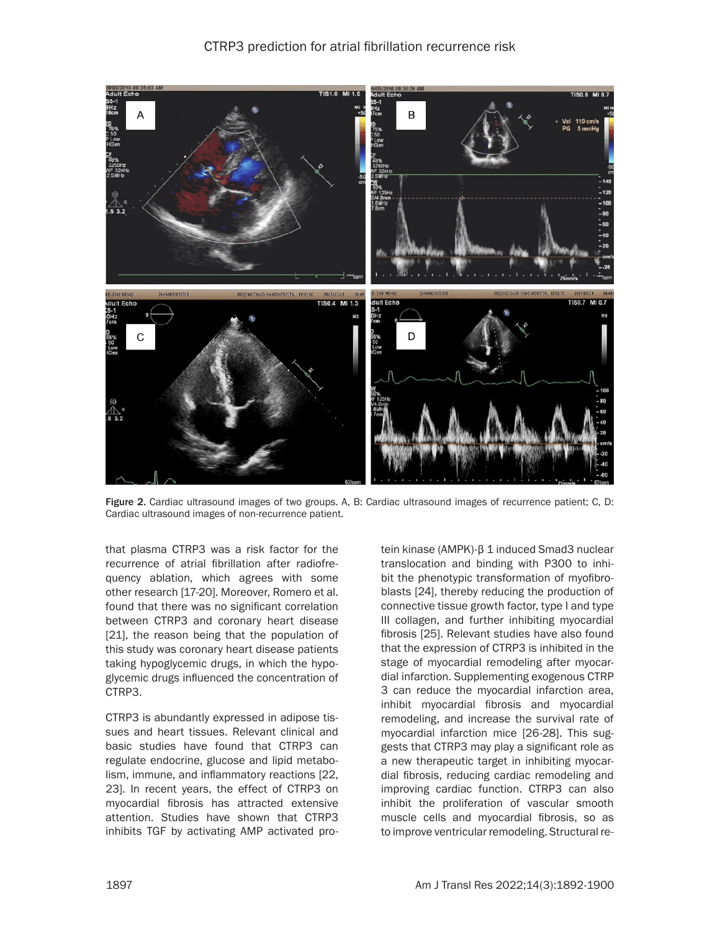CTRP3 prediction for atrial fibrillation recurrence risk



Figure 2. Cardiac ultrasound images of two groups. A, B: Cardiac ultrasound images of recurrence patient; C, D: Cardiac ultrasound images of non-recurrence patient.

that plasma CTRP3 was a risk factor for the recurrence of atrial fibrillation after radiofrequency ablation, which agrees with some other research [17-20]. Moreover, Romero et al. found that there was no significant correlation between CTRP3 and coronary heart disease [21], the reason being that the population of this study was coronary heart disease patients taking hypoglycemic drugs, in which the hypoglycemic drugs influenced the concentration of CTRP3.

CTRP3 is abundantly expressed in adipose tissues and heart tissues. Relevant clinical and basic studies have found that CTRP3 can regulate endocrine, glucose and lipid metabolism, immune, and inflammatory reactions [22, 23]. In recent years, the effect of CTRP3 on myocardial fibrosis has attracted extensive attention. Studies have shown that CTRP3 inhibits TGF by activating AMP activated pro-

tein kinase (AMPK)-β 1 induced Smad3 nuclear translocation and binding with P300 to inhibit the phenotypic transformation of myofibroblasts [24], thereby reducing the production of connective tissue growth factor, type I and type III collagen, and further inhibiting myocardial fibrosis [25]. Relevant studies have also found that the expression of CTRP3 is inhibited in the stage of myocardial remodeling after myocardial infarction. Supplementing exogenous CTRP 3 can reduce the myocardial infarction area, inhibit myocardial fibrosis and myocardial remodeling, and increase the survival rate of myocardial infarction mice [26-28]. This suggests that CTRP3 may play a significant role as a new therapeutic target in inhibiting myocardial fibrosis, reducing cardiac remodeling and improving cardiac function. CTRP3 can also inhibit the proliferation of vascular smooth muscle cells and myocardial fibrosis, so as to improve ventricular remodeling. Structural re-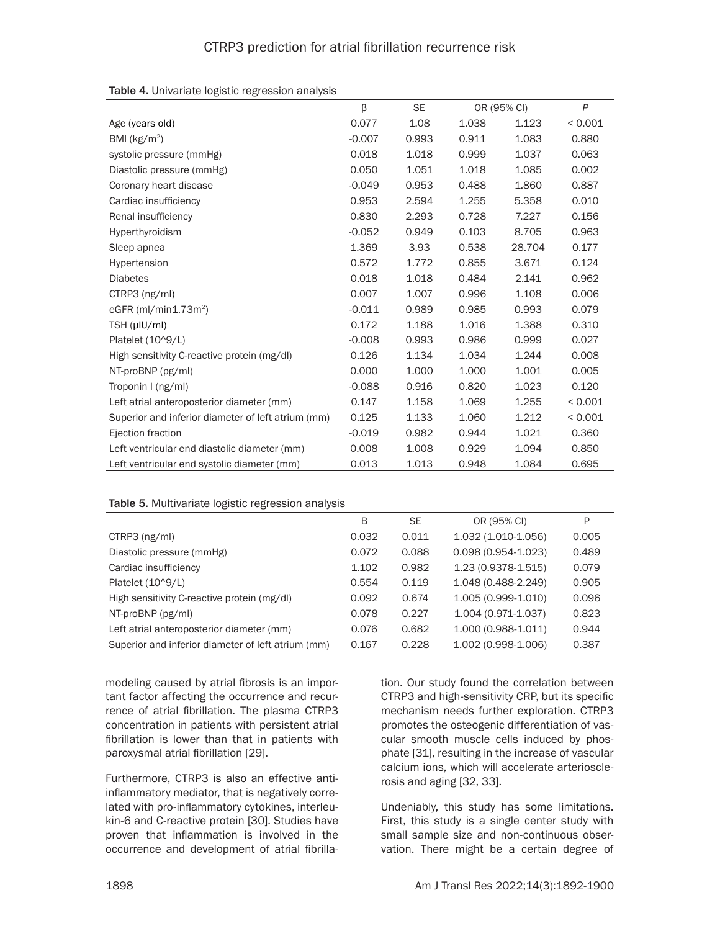|                                                    | β        | <b>SE</b> |       | OR (95% CI) | P            |
|----------------------------------------------------|----------|-----------|-------|-------------|--------------|
| Age (years old)                                    | 0.077    | 1.08      | 1.038 | 1.123       | ${}< 0.001$  |
| BMI ( $kg/m2$ )                                    | $-0.007$ | 0.993     | 0.911 | 1.083       | 0.880        |
| systolic pressure (mmHg)                           | 0.018    | 1.018     | 0.999 | 1.037       | 0.063        |
| Diastolic pressure (mmHg)                          | 0.050    | 1.051     | 1.018 | 1.085       | 0.002        |
| Coronary heart disease                             | $-0.049$ | 0.953     | 0.488 | 1.860       | 0.887        |
| Cardiac insufficiency                              | 0.953    | 2.594     | 1.255 | 5.358       | 0.010        |
| Renal insufficiency                                | 0.830    | 2.293     | 0.728 | 7.227       | 0.156        |
| Hyperthyroidism                                    | $-0.052$ | 0.949     | 0.103 | 8.705       | 0.963        |
| Sleep apnea                                        | 1.369    | 3.93      | 0.538 | 28.704      | 0.177        |
| Hypertension                                       | 0.572    | 1.772     | 0.855 | 3.671       | 0.124        |
| <b>Diabetes</b>                                    | 0.018    | 1.018     | 0.484 | 2.141       | 0.962        |
| CTRP3 (ng/ml)                                      | 0.007    | 1.007     | 0.996 | 1.108       | 0.006        |
| eGFR $(mI/min1.73m2)$                              | $-0.011$ | 0.989     | 0.985 | 0.993       | 0.079        |
| $TSH$ ( $\mu$ IU/ml)                               | 0.172    | 1.188     | 1.016 | 1.388       | 0.310        |
| Platelet (10^9/L)                                  | $-0.008$ | 0.993     | 0.986 | 0.999       | 0.027        |
| High sensitivity C-reactive protein (mg/dl)        | 0.126    | 1.134     | 1.034 | 1.244       | 0.008        |
| NT-proBNP (pg/ml)                                  | 0.000    | 1.000     | 1.000 | 1.001       | 0.005        |
| Troponin I (ng/ml)                                 | $-0.088$ | 0.916     | 0.820 | 1.023       | 0.120        |
| Left atrial anteroposterior diameter (mm)          | 0.147    | 1.158     | 1.069 | 1.255       | < 0.001      |
| Superior and inferior diameter of left atrium (mm) | 0.125    | 1.133     | 1.060 | 1.212       | ${}_{0.001}$ |
| Ejection fraction                                  | $-0.019$ | 0.982     | 0.944 | 1.021       | 0.360        |
| Left ventricular end diastolic diameter (mm)       | 0.008    | 1.008     | 0.929 | 1.094       | 0.850        |
| Left ventricular end systolic diameter (mm)        | 0.013    | 1.013     | 0.948 | 1.084       | 0.695        |

#### Table 5. Multivariate logistic regression analysis

|                                                    | B     | <b>SE</b> | OR (95% CI)            | P     |
|----------------------------------------------------|-------|-----------|------------------------|-------|
| $CTRP3$ ( $ng/ml$ )                                | 0.032 | 0.011     | 1.032 (1.010-1.056)    | 0.005 |
| Diastolic pressure (mmHg)                          | 0.072 | 0.088     | $0.098(0.954 - 1.023)$ | 0.489 |
| Cardiac insufficiency                              | 1.102 | 0.982     | 1.23 (0.9378-1.515)    | 0.079 |
| Platelet $(10^9/L)$                                | 0.554 | 0.119     | 1.048 (0.488-2.249)    | 0.905 |
| High sensitivity C-reactive protein (mg/dl)        | 0.092 | 0.674     | 1.005 (0.999-1.010)    | 0.096 |
| NT-proBNP (pg/ml)                                  | 0.078 | 0.227     | 1.004 (0.971-1.037)    | 0.823 |
| Left atrial anteroposterior diameter (mm)          | 0.076 | 0.682     | 1.000 (0.988-1.011)    | 0.944 |
| Superior and inferior diameter of left atrium (mm) | 0.167 | 0.228     | 1.002 (0.998-1.006)    | 0.387 |

modeling caused by atrial fibrosis is an important factor affecting the occurrence and recurrence of atrial fibrillation. The plasma CTRP3 concentration in patients with persistent atrial fibrillation is lower than that in patients with paroxysmal atrial fibrillation [29].

Furthermore, CTRP3 is also an effective antiinflammatory mediator, that is negatively correlated with pro-inflammatory cytokines, interleukin-6 and C-reactive protein [30]. Studies have proven that inflammation is involved in the occurrence and development of atrial fibrillation. Our study found the correlation between CTRP3 and high-sensitivity CRP, but its specific mechanism needs further exploration. CTRP3 promotes the osteogenic differentiation of vascular smooth muscle cells induced by phosphate [31], resulting in the increase of vascular calcium ions, which will accelerate arteriosclerosis and aging [32, 33].

Undeniably, this study has some limitations. First, this study is a single center study with small sample size and non-continuous observation. There might be a certain degree of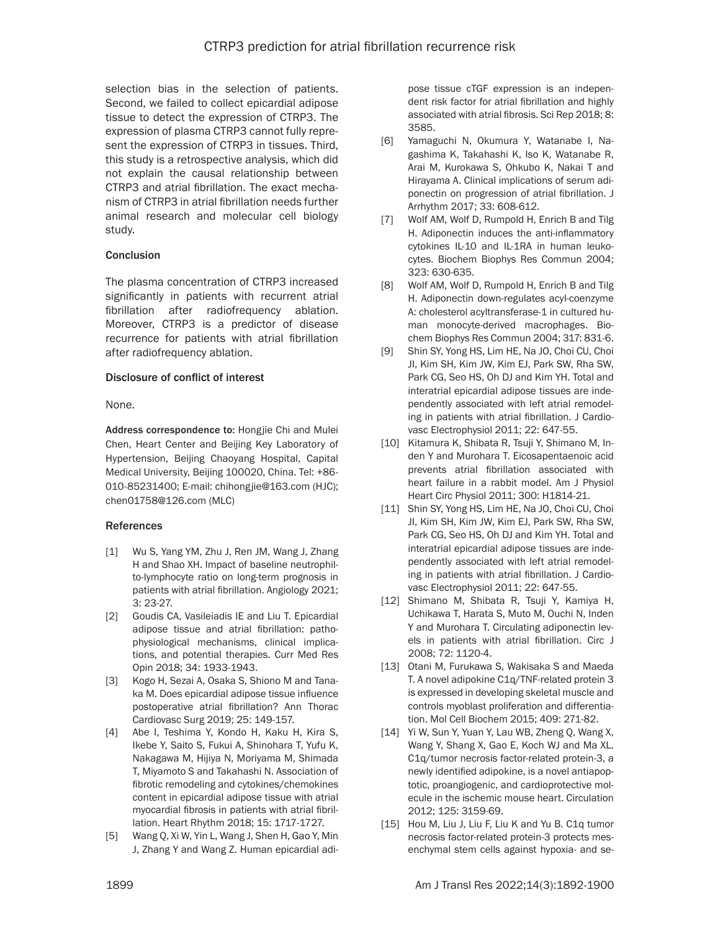selection bias in the selection of patients. Second, we failed to collect epicardial adipose tissue to detect the expression of CTRP3. The expression of plasma CTRP3 cannot fully represent the expression of CTRP3 in tissues. Third, this study is a retrospective analysis, which did not explain the causal relationship between CTRP3 and atrial fibrillation. The exact mechanism of CTRP3 in atrial fibrillation needs further animal research and molecular cell biology study.

#### Conclusion

The plasma concentration of CTRP3 increased significantly in patients with recurrent atrial fibrillation after radiofrequency ablation. Moreover, CTRP3 is a predictor of disease recurrence for patients with atrial fibrillation after radiofrequency ablation.

#### Disclosure of conflict of interest

None.

Address correspondence to: Hongjie Chi and Mulei Chen, Heart Center and Beijing Key Laboratory of Hypertension, Beijing Chaoyang Hospital, Capital Medical University, Beijing 100020, China. Tel: +86- 010-85231400; E-mail: chihongjie@163.com (HJC); chen01758@126.com (MLC)

## References

- [1] Wu S, Yang YM, Zhu J, Ren JM, Wang J, Zhang H and Shao XH. Impact of baseline neutrophilto-lymphocyte ratio on long-term prognosis in patients with atrial fibrillation. Angiology 2021; 3: 23-27.
- [2] Goudis CA, Vasileiadis IE and Liu T. Epicardial adipose tissue and atrial fibrillation: pathophysiological mechanisms, clinical implications, and potential therapies. Curr Med Res Opin 2018; 34: 1933-1943.
- [3] Kogo H, Sezai A, Osaka S, Shiono M and Tanaka M. Does epicardial adipose tissue influence postoperative atrial fibrillation? Ann Thorac Cardiovasc Surg 2019; 25: 149-157.
- [4] Abe I, Teshima Y, Kondo H, Kaku H, Kira S, Ikebe Y, Saito S, Fukui A, Shinohara T, Yufu K, Nakagawa M, Hijiya N, Moriyama M, Shimada T, Miyamoto S and Takahashi N. Association of fibrotic remodeling and cytokines/chemokines content in epicardial adipose tissue with atrial myocardial fibrosis in patients with atrial fibrillation. Heart Rhythm 2018; 15: 1717-1727.
- [5] Wang Q, Xi W, Yin L, Wang J, Shen H, Gao Y, Min J, Zhang Y and Wang Z. Human epicardial adi-

pose tissue cTGF expression is an independent risk factor for atrial fibrillation and highly associated with atrial fibrosis. Sci Rep 2018; 8: 3585.

- [6] Yamaguchi N, Okumura Y, Watanabe I, Nagashima K, Takahashi K, Iso K, Watanabe R, Arai M, Kurokawa S, Ohkubo K, Nakai T and Hirayama A. Clinical implications of serum adiponectin on progression of atrial fibrillation. J Arrhythm 2017; 33: 608-612.
- [7] Wolf AM, Wolf D, Rumpold H, Enrich B and Tilg H. Adiponectin induces the anti-inflammatory cytokines IL-10 and IL-1RA in human leukocytes. Biochem Biophys Res Commun 2004; 323: 630-635.
- [8] Wolf AM, Wolf D, Rumpold H, Enrich B and Tilg H. Adiponectin down-regulates acyl-coenzyme A: cholesterol acyltransferase-1 in cultured human monocyte-derived macrophages. Biochem Biophys Res Commun 2004; 317: 831-6.
- [9] Shin SY, Yong HS, Lim HE, Na JO, Choi CU, Choi JI, Kim SH, Kim JW, Kim EJ, Park SW, Rha SW, Park CG, Seo HS, Oh DJ and Kim YH. Total and interatrial epicardial adipose tissues are independently associated with left atrial remodeling in patients with atrial fibrillation. J Cardiovasc Electrophysiol 2011; 22: 647-55.
- [10] Kitamura K, Shibata R, Tsuji Y, Shimano M, Inden Y and Murohara T. Eicosapentaenoic acid prevents atrial fibrillation associated with heart failure in a rabbit model. Am J Physiol Heart Circ Physiol 2011; 300: H1814-21.
- [11] Shin SY, Yong HS, Lim HE, Na JO, Choi CU, Choi JI, Kim SH, Kim JW, Kim EJ, Park SW, Rha SW, Park CG, Seo HS, Oh DJ and Kim YH. Total and interatrial epicardial adipose tissues are independently associated with left atrial remodeling in patients with atrial fibrillation. J Cardiovasc Electrophysiol 2011; 22: 647-55.
- [12] Shimano M, Shibata R, Tsuji Y, Kamiya H, Uchikawa T, Harata S, Muto M, Ouchi N, Inden Y and Murohara T. Circulating adiponectin levels in patients with atrial fibrillation. Circ J 2008; 72: 1120-4.
- [13] Otani M, Furukawa S, Wakisaka S and Maeda T. A novel adipokine C1q/TNF-related protein 3 is expressed in developing skeletal muscle and controls myoblast proliferation and differentiation. Mol Cell Biochem 2015; 409: 271-82.
- [14] Yi W, Sun Y, Yuan Y, Lau WB, Zheng Q, Wang X, Wang Y, Shang X, Gao E, Koch WJ and Ma XL. C1q/tumor necrosis factor-related protein-3, a newly identified adipokine, is a novel antiapoptotic, proangiogenic, and cardioprotective molecule in the ischemic mouse heart. Circulation 2012; 125: 3159-69.
- [15] Hou M, Liu J, Liu F, Liu K and Yu B. C1q tumor necrosis factor-related protein-3 protects mesenchymal stem cells against hypoxia- and se-